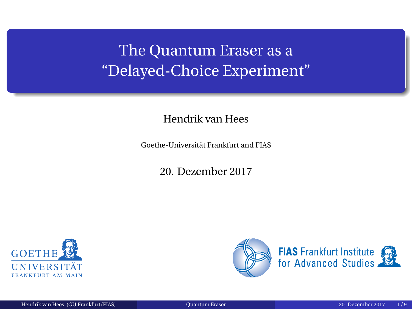# <span id="page-0-0"></span>The Quantum Eraser as a "Delayed-Choice Experiment"

#### Hendrik van Hees

Goethe-Universität Frankfurt and FIAS

20. Dezember 2017



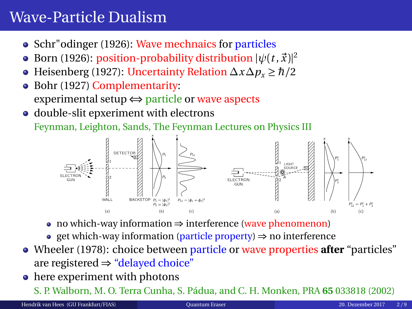### Wave-Particle Dualism

- Schr"odinger (1926): Wave mechnaics for particles
- Born (1926): position-probability distribution  $|\psi(t,\vec{x})|^2$
- Heisenberg (1927): Uncertainty Relation  $\Delta x \Delta p_x \geq \hbar/2$  $\bullet$
- Bohr (1927) Complementarity:  $\bullet$ experimental setup ⇔ particle or wave aspects
- double-slit epxeriment with electrons

Feynman, Leighton, Sands, The Feynman Lectures on Physics III



- no which-way information ⇒ interference (wave phenomenon)
- get which-way information (particle property) ⇒ no interference
- Wheeler (1978): choice between particle or wave properties **after** "particles" are registered ⇒ "delayed choice"
- here experiment with photons

S. P. Walborn, M. O. Terra Cunha, S. Pádua, and C. H. Monken, PRA **65** 033818 (2002)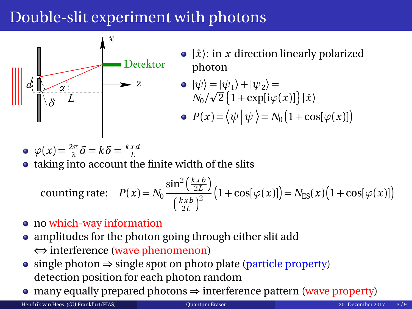# Double-slit experiment with photons



 $\bullet$   $|\hat{x}\rangle$ : in *x* direction linearly polarized photon

$$
\begin{aligned} \n\bullet \, |\psi\rangle &= |\psi_1\rangle + |\psi_2\rangle = \\ \nN_0 / \sqrt{2} \left\{ 1 + \exp[i\varphi(x)] \right\} |\hat{x}\rangle \n\end{aligned}
$$

$$
\bullet \ \ P(x) = \langle \psi | \psi \rangle = N_0 \big( 1 + \cos[\varphi(x)] \big)
$$

$$
\bullet \ \varphi(x) = \frac{2\pi}{\lambda} \delta = k \delta = \frac{k \times d}{L}
$$

• taking into account the finite width of the slits

counting rate: 
$$
P(x) = N_0 \frac{\sin^2(\frac{kx}{2L})}{(\frac{kx}{2L})^2} (1 + \cos[\varphi(x)]) = N_{ES}(x) (1 + \cos[\varphi(x)])
$$

- no which-way information
- amplitudes for the photon going through either slit add ⇔ interference (wave phenomenon)
- single photon  $\Rightarrow$  single spot on photo plate (particle property) detection position for each photon random
- many equally prepared photons ⇒ interference pattern (wave property)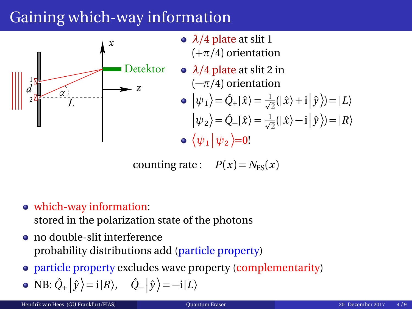# Gaining which-way information



- *λ/*4 plate at slit 1 (+*π/*4) orientation
- *λ/*4 plate at slit 2 in (−*π/*4) orientation
	- $|\psi_1\rangle = \hat{Q}_+|\hat{x}\rangle = \frac{1}{\sqrt{2}}(|\hat{x}\rangle + i|\hat{y}\rangle) = |L\rangle$  $|\psi_2\rangle = \hat{Q}_-\hat{x}\rangle = \frac{1}{\sqrt{2}}(|\hat{x}\rangle - i|\hat{y}\rangle) = |R\rangle$  $\langle \psi_1 | \psi_2 \rangle = 0!$

counting rate:  $P(x) = N_{\text{ES}}(x)$ 

which-way information:

stored in the polarization state of the photons

- no double-slit interference probability distributions add (particle property)
- particle property excludes wave property (complementarity)

• NB: 
$$
\hat{Q}_+ |\hat{y}\rangle = i|R\rangle
$$
,  $\hat{Q}_- |\hat{y}\rangle = -i|L\rangle$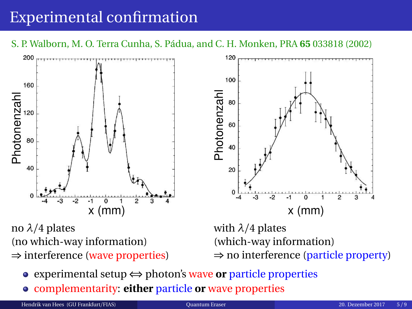# Experimental confirmation

S. P. Walborn, M. O. Terra Cunha, S. Pádua, and C. H. Monken, PRA **65** 033818 (2002)



- (which-way information) ⇒ no interference (particle property)
- experimental setup ⇔ photon's wave **or** particle properties
- complementarity: **either** particle **or** wave properties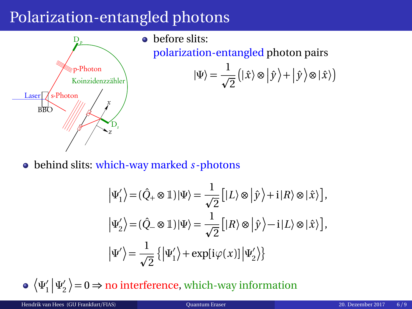### Polarization-entangled photons



polarization-entangled photon pairs

$$
|\Psi\rangle=\frac{1}{\sqrt{2}}\left(|\hat{x}\rangle\otimes|\hat{y}\rangle+|\hat{y}\rangle\otimes|\hat{x}\rangle\right)
$$

behind slits: which-way marked *s*-photons

$$
\begin{split} \left|\Psi_{1}^{\prime}\right\rangle & =(\hat{Q}_{+}\otimes1)|\Psi\rangle=\frac{1}{\sqrt{2}}\Big[|L\rangle\otimes\left|\hat{y}\right\rangle+\mathrm{i}\left|R\right\rangle\otimes\left|\hat{x}\right\rangle\Big],\\ \left|\Psi_{2}^{\prime}\right\rangle & =(\hat{Q}_{-}\otimes1)|\Psi\rangle=\frac{1}{\sqrt{2}}\Big[|R\rangle\otimes\left|\hat{y}\right\rangle-\mathrm{i}\left|L\right\rangle\otimes\left|\hat{x}\right\rangle\Big],\\ \left|\Psi^{\prime}\right\rangle & =\frac{1}{\sqrt{2}}\left\{\left|\Psi_{1}^{\prime}\right\rangle+\exp[\mathrm{i}\varphi(x)]\left|\Psi_{2}^{\prime}\right\rangle\right\} \end{split}
$$

 $\langle \Psi'_1$  $\frac{1}{1}$  $\Psi_2'$  $\binom{1}{2} = 0 \Rightarrow$  no interference, which-way information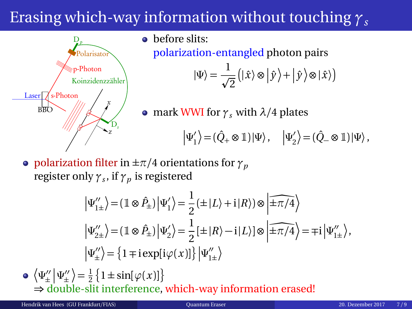# Erasing which-way information without touching *γ<sup>s</sup>*



polarization-entangled photon pairs

$$
|\Psi\rangle = \frac{1}{\sqrt{2}} (|\hat{x}\rangle \otimes |\hat{y}\rangle + |\hat{y}\rangle \otimes |\hat{x}\rangle)
$$

• mark WWI for  $\gamma_s$  with  $\lambda/4$  plates

$$
\left|\Psi_1'\right\rangle\!=\!(\hat{Q}_+\otimes\mathbbm{1})\!\left|\Psi\right\rangle,\quad \left|\Psi_2'\right\rangle\!=\!(\hat{Q}_-\otimes\mathbbm{1})\!\left|\Psi\right\rangle,
$$

**•** polarization filter in  $\pm \pi/4$  orientations for  $\gamma_p$ register only *γ<sup>s</sup>* , if *γ<sup>p</sup>* is registered

$$
\left| \Psi_{1\pm}^{\prime\prime} \right\rangle = \left( \mathbbm{1} \otimes \hat{P}_{\pm} \right) \left| \Psi_{1}^{\prime} \right\rangle = \frac{1}{2} \left( \pm |L\rangle + i |R\rangle \right) \otimes \left| \widehat{\pm \pi/4} \right\rangle
$$
\n
$$
\left| \Psi_{2\pm}^{\prime\prime} \right\rangle = \left( \mathbbm{1} \otimes \hat{P}_{\pm} \right) \left| \Psi_{2}^{\prime} \right\rangle = \frac{1}{2} \left[ \pm |R\rangle - i |L\rangle \right] \otimes \left| \widehat{\pm \pi/4} \right\rangle = \mp i \left| \Psi_{1\pm}^{\prime\prime} \right\rangle,
$$
\n
$$
\left| \Psi_{\pm}^{\prime\prime} \right\rangle = \left\{ 1 \mp i \exp[i \varphi(x)] \right\} \left| \Psi_{1\pm}^{\prime\prime} \right\rangle
$$

 $\langle \Psi''_{\pm} | \Psi''_{\pm} \rangle = \frac{1}{2} \{ 1 \pm \sin[\varphi(x)] \}$ ⇒ double-slit interference, which-way information erased!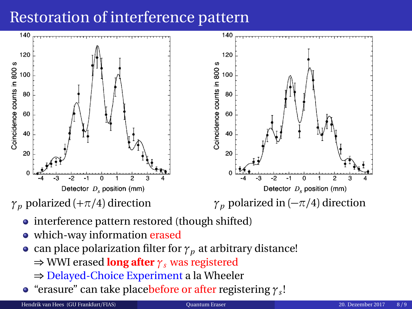# Restoration of interference pattern



- interference pattern restored (though shifted)
- which-way information erased
- can place polarization filter for  $\gamma_p$  at arbitrary distance!
	- ⇒ WWI erased **long after** *γ<sup>s</sup>* was registered
	- ⇒ Delayed-Choice Experiment a la Wheeler
- "erasure" can take placebefore or after registering *γ<sup>s</sup>* !